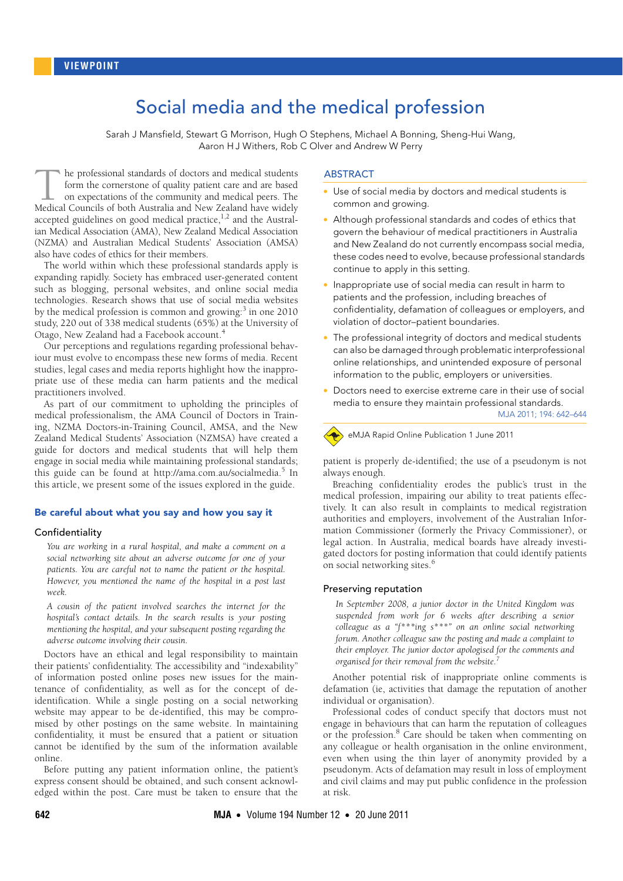# Social media and the medical profession

Sarah J Mansfield, Stewart G Morrison, Hugh O Stephens, Michael A Bonning, Sheng-Hui Wang, Aaron HJ Withers, Rob C Olver and Andrew W Perry

<span id="page-0-0"></span>he professional standards of doctors and medical students form the cornerstone of quality patient care and are based on expectations of the community and medical peers. The The professional standards of doctors and medical students form the cornerstone of quality patient care and are based on expectations of the community and medical peers. The Medical Councils of both Australia and New Zeala accepted guidelines on good medical practice, $1,2$  $1,2$  and the Australian Medical Association (AMA), New Zealand Medical Association (NZMA) and Australian Medical Students' Association (AMSA) also have codes of ethics for their members.

The world within which these professional standards apply is expanding rapidly. Society has embr[aced](#page-0-0) [use](#page-2-8)r-generated content such as blogging, personal websites, and online social media technologies. Research shows that use of social media websites by the medical profession is common and growing:<sup>[3](#page-2-2)</sup> in one 2010 study, 220 out of 338 medical students (65%) at the University of Otago, New Zealand had a Facebook account.[4](#page-2-3)

Our perceptions and regulations regarding professional behaviour must evolve to encompass these new forms of media. Recent studies, legal cases and media reports highlight how the inappropriate use of these media can harm patients and the medical practitioners involved.

As part of our commitment to upholding the principles of medical professionalism, the AMA Council of Doctors in Training, NZMA Doctors-in-Training Council, AMSA, and the New Zealand Medical Students' Association (NZMSA) have created a guide for doctors and medical students that will help them engage in social media while maintaining professional standards; this guide can be found at http://ama.com.au/socialmedia.<sup>[5](#page-2-4)</sup> In this article, we present some of the issues explored in the guide.

#### Be careful about what you say and how you say it

### Confidentiality

*You are working in a rural hospital, and make a comment on a social networking site about an adverse outcome for one of your patients. You are careful not to name the patient or the hospital. However, you mentioned the name of the hospital in a post last week.*

*A cousin of the patient involved searches the internet for the hospital's contact details. In the search results is your posting mentioning the hospital, and your subsequent posting regarding the adverse outcome involving their cousin.*

Doctors have an ethical and legal responsibility to maintain their patients' confidentiality. The accessibility and "indexability" of information posted online poses new issues for the maintenance of confidentiality, as well as for the concept of deidentification. While a single posting on a social networking website may appear to be de-identified, this may be compromised by other postings on the same website. In maintaining confidentiality, it must be ensured that a patient or situation cannot be identified by the sum of the information available online.

Before putting any patient information online, the patient's express consent should be obtained, and such consent acknowledged within the post. Care must be taken to ensure that the

## ABSTRACT

- Use of social media by doctors and medical students is common and growing.
- Although professional standards and codes of ethics that govern the behaviour of medical practitioners in Australia and New Zealand do not currently encompass social media, these codes need to evolve, because professional standards continue to apply in this setting.
- Inappropriate use of social media can result in harm to patients and the profession, including breaches of confidentiality, defamation of colleagues or employers, and violation of doctor–patient boundaries.
- The professional integrity of doctors and medical students can also be damaged through problematic interprofessional online relationships, and unintended exposure of personal information to the public, employers or universities.
- Doctors need to exercise extreme care in their use of social media to ensure they maintain professional standards.

MJA 2011; 194: 642–644



eMJA Rapid Online Publication 1 June 2011

patient is properly de-identified; the use of a pseudonym is not always enough.

Breaching confidentiality erodes the public's trust in the medical profession, impairing our ability to treat patients effectively. It can also result in complaints to medical registration authorities and employers, involvement of the Australian Information Commissioner (formerly the Privacy Commissioner), or legal action. In Australia, medical boards have already investigated doctors for posting information that could identify patients on social networking sites.<sup>[6](#page-2-5)</sup>

#### Preserving reputation

*In September 2008, a junior doctor in the United Kingdom was suspended from work for 6 weeks after describing a senior colleague as a "f\*\*\*ing s\*\*\*" on an online social networking forum. Another colleague saw the posting and made a complaint to their employer. The junior doctor apologised for the comments and organised for their removal from the website.[7](#page-2-6)*

Another potential risk of inappropriate online comments is defamation (ie, activities that damage the reputation of another individual or organisation).

Professional codes of conduct specify that doctors must not engage in behaviours that can harm the reputation of colleagues or the profession.<sup>[8](#page-2-7)</sup> Care should be taken when commenting on any colleague or health organisation in the online environment, even when using the thin layer of anonymity provided by a pseudonym. Acts of defamation may result in loss of employment and civil claims and may put public confidence in the profession at risk.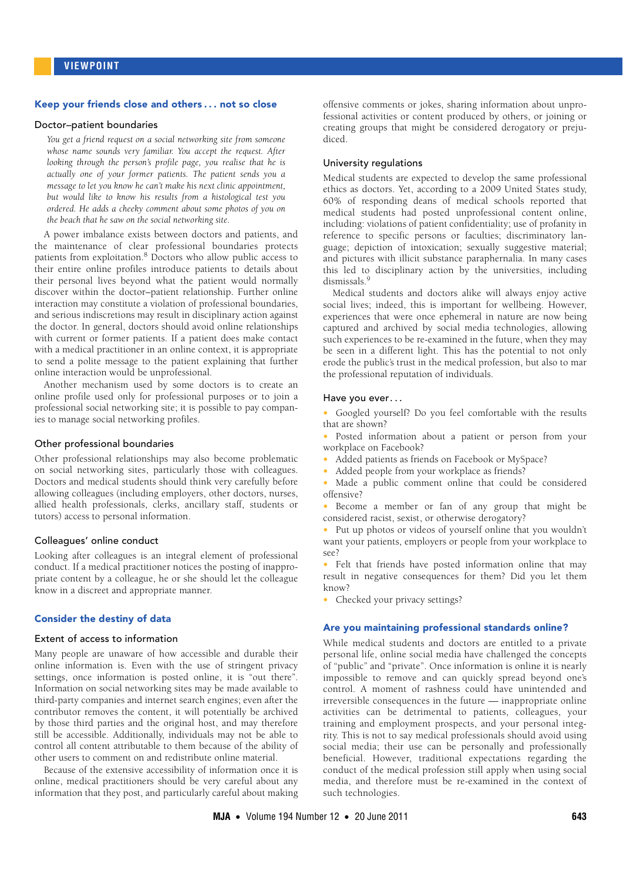#### Keep your friends close and others . . . not so close

## Doctor–patient boundaries

*You get a friend request on a social networking site from someone whose name sounds very familiar. You accept the request. After looking through the person's profile page, you realise that he is actually one of your former patients. The patient sends you a message to let you know he can't make his next clinic appointment, but would like to know his results from a histological test you ordered. He adds a cheeky comment about some photos of you on the beach that he saw on the social networking site.*

A power imbalance exists between doctors and patients, and the maintenance of clear professional boundaries protects patients from exploitation.<sup>[8](#page-2-7)</sup> Doctors who allow public access to their entire online profiles introduce patients to details about their personal lives beyond what the patient would normally discover within the doctor–patient relationship. Further online interaction may constitute a violation of professional boundaries, and serious indiscretions may result in disciplinary action against the doctor. In general, doctors should avoid online relationships with current or former patients. If a patient does make contact with a medical practitioner in an online context, it is appropriate to send a polite message to the patient explaining that further online interaction would be unprofessional.

Another mechanism used by some doctors is to create an online profile used only for professional purposes or to join a professional social networking site; it is possible to pay companies to manage social networking profiles.

## Other professional boundaries

Other professional relationships may also become problematic on social networking sites, particularly those with colleagues. Doctors and medical students should think very carefully before allowing colleagues (including employers, other doctors, nurses, allied health professionals, clerks, ancillary staff, students or tutors) access to personal information.

#### Colleagues' online conduct

Looking after colleagues is an integral element of professional conduct. If a medical practitioner notices the posting of inappropriate content by a colleague, he or she should let the colleague know in a discreet and appropriate manner.

## Consider the destiny of data

## Extent of access to information

Many people are unaware of how accessible and durable their online information is. Even with the use of stringent privacy settings, once information is posted online, it is "out there". Information on social networking sites may be made available to third-party companies and internet search engines; even after the contributor removes the content, it will potentially be archived by those third parties and the original host, and may therefore still be accessible. Additionally, individuals may not be able to control all content attributable to them because of the ability of other users to comment on and redistribute online material.

Because of the extensive accessibility of information once it is online, medical practitioners should be very careful about any information that they post, and particularly careful about making

offensive comments or jokes, sharing information about unprofessional activities or content produced by others, or joining or creating groups that might be considered derogatory or prejudiced.

#### University regulations

Medical students are expected to develop the same professional ethics as doctors. Yet, according to a 2009 United States study, 60% of responding deans of medical schools reported that medical students had posted unprofessional content online, including: violations of patient confidentiality; use of profanity in reference to specific persons or faculties; discriminatory language; depiction of intoxication; sexually suggestive material; and pictures with illicit substance paraphernalia. In many cases this led to disciplinary action by the universities, including dismissals.<sup>[9](#page-2-8)</sup>

Medical students and doctors alike will always enjoy active social lives; indeed, this is important for wellbeing. However, experiences that were once ephemeral in nature are now being captured and archived by social media technologies, allowing such experiences to be re-examined in the future, when they may be seen in a different light. This has the potential to not only erode the public's trust in the medical profession, but also to mar the professional reputation of individuals.

#### Have you ever...

• Googled yourself? Do you feel comfortable with the results that are shown?

- Posted information about a patient or person from your workplace on Facebook?
- Added patients as friends on Facebook or MySpace?
- Added people from your workplace as friends?
- Made a public comment online that could be considered offensive?
- Become a member or fan of any group that might be considered racist, sexist, or otherwise derogatory?
- Put up photos or videos of yourself online that you wouldn't want your patients, employers or people from your workplace to see?
- Felt that friends have posted information online that may result in negative consequences for them? Did you let them know?
- Checked your privacy settings?

#### Are you maintaining professional standards online?

While medical students and doctors are entitled to a private personal life, online social media have challenged the concepts of "public" and "private". Once information is online it is nearly impossible to remove and can quickly spread beyond one's control. A moment of rashness could have unintended and irreversible consequences in the future — inappropriate online activities can be detrimental to patients, colleagues, your training and employment prospects, and your personal integrity. This is not to say medical professionals should avoid using social media; their use can be personally and professionally beneficial. However, traditional expectations regarding the conduct of the medical profession still apply when using social media, and therefore must be re-examined in the context of such technologies.